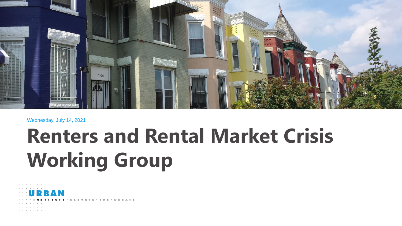

#### Wednesday, July 14, 2021

# **Renters and Rental Market Crisis Working Group**

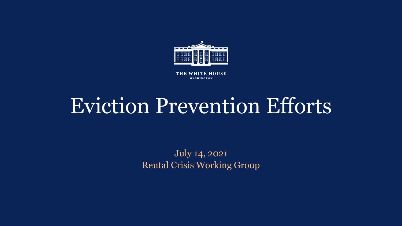

THE WHITE HOUSE WASHINGTON

# Eviction Prevention Efforts

July 14, 2021 Rental Crisis Working Group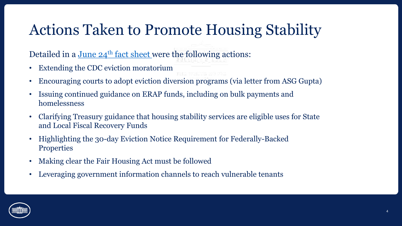# Actions Taken to Promote Housing Stability

Detailed in a June  $24<sup>th</sup>$  [fact sheet](https://www.whitehouse.gov/briefing-room/statements-releases/2021/06/24/fact-sheet-biden-harris-administration-announces-initiatives-to-promote-housing-stability-by-supporting-vulnerable-tenants-and-preventing-foreclosures/) were the following actions:

- Extending the CDC eviction moratorium
- Encouraging courts to adopt eviction diversion programs (via letter from ASG Gupta)
- Issuing continued guidance on ERAP funds, including on bulk payments and homelessness
- Clarifying Treasury guidance that housing stability services are eligible uses for State and Local Fiscal Recovery Funds
- Highlighting the 30-day Eviction Notice Requirement for Federally-Backed **Properties**
- Making clear the Fair Housing Act must be followed
- Leveraging government information channels to reach vulnerable tenants

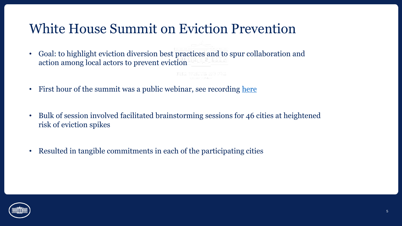### White House Summit on Eviction Prevention

- Goal: to highlight eviction diversion best practices and to spur collaboration and action among local actors to prevent eviction
- First hour of the summit was a public webinar, see recording [here](https://www.youtube.com/watch?v=S3zVlAJFhq4)
- Bulk of session involved facilitated brainstorming sessions for 46 cities at heightened risk of eviction spikes
- Resulted in tangible commitments in each of the participating cities

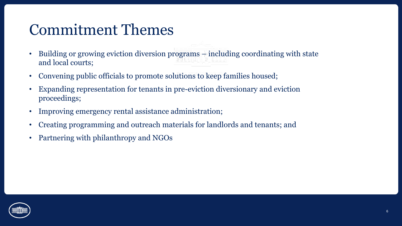### Commitment Themes

- Building or growing eviction diversion programs including coordinating with state and local courts;
- Convening public officials to promote solutions to keep families housed;
- Expanding representation for tenants in pre-eviction diversionary and eviction proceedings;
- Improving emergency rental assistance administration;
- Creating programming and outreach materials for landlords and tenants; and
- Partnering with philanthropy and NGOs

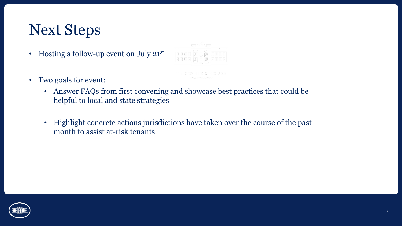## Next Steps

- Hosting a follow-up event on July 21st
- Two goals for event:
	- Answer FAQs from first convening and showcase best practices that could be helpful to local and state strategies
	- Highlight concrete actions jurisdictions have taken over the course of the past month to assist at-risk tenants

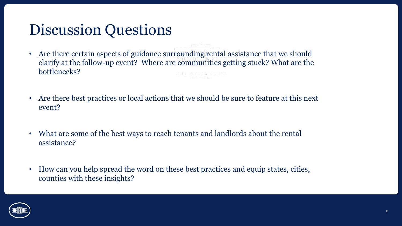# Discussion Questions

- Are there certain aspects of guidance surrounding rental assistance that we should clarify at the follow-up event? Where are communities getting stuck? What are the bottlenecks?
- Are there best practices or local actions that we should be sure to feature at this next event?
- What are some of the best ways to reach tenants and landlords about the rental assistance?
- How can you help spread the word on these best practices and equip states, cities, counties with these insights?